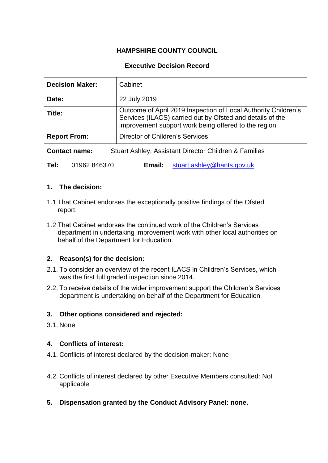# **HAMPSHIRE COUNTY COUNCIL**

## **Executive Decision Record**

| <b>Decision Maker:</b> | Cabinet                                                                                                                                                                             |
|------------------------|-------------------------------------------------------------------------------------------------------------------------------------------------------------------------------------|
| Date:                  | 22 July 2019                                                                                                                                                                        |
| Title:                 | Outcome of April 2019 Inspection of Local Authority Children's<br>Services (ILACS) carried out by Ofsted and details of the<br>improvement support work being offered to the region |
| <b>Report From:</b>    | Director of Children's Services                                                                                                                                                     |

**Contact name:** Stuart Ashley, Assistant Director Children & Families

**Tel:** 01962 846370 **Email:** [stuart.ashley@hants.gov.uk](mailto:stuart.ashley@hants.gov.uk)

#### **1. The decision:**

- 1.1 That Cabinet endorses the exceptionally positive findings of the Ofsted report.
- 1.2 That Cabinet endorses the continued work of the Children's Services department in undertaking improvement work with other local authorities on behalf of the Department for Education.

### **2. Reason(s) for the decision:**

- 2.1. To consider an overview of the recent ILACS in Children's Services, which was the first full graded inspection since 2014.
- 2.2. To receive details of the wider improvement support the Children's Services department is undertaking on behalf of the Department for Education

### **3. Other options considered and rejected:**

3.1. None

### **4. Conflicts of interest:**

- 4.1. Conflicts of interest declared by the decision-maker: None
- 4.2. Conflicts of interest declared by other Executive Members consulted: Not applicable
- **5. Dispensation granted by the Conduct Advisory Panel: none.**